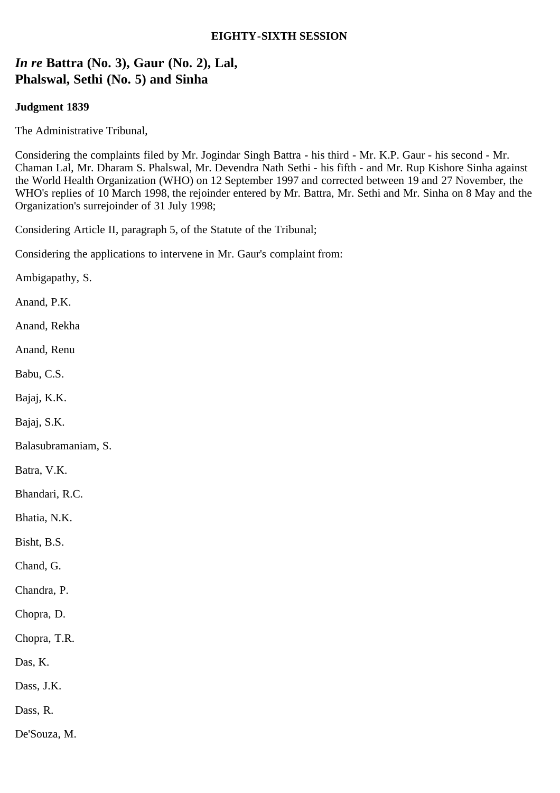### **EIGHTY-SIXTH SESSION**

# *In re* **Battra (No. 3), Gaur (No. 2), Lal, Phalswal, Sethi (No. 5) and Sinha**

### **Judgment 1839**

The Administrative Tribunal,

Considering the complaints filed by Mr. Jogindar Singh Battra - his third - Mr. K.P. Gaur - his second - Mr. Chaman Lal, Mr. Dharam S. Phalswal, Mr. Devendra Nath Sethi - his fifth - and Mr. Rup Kishore Sinha against the World Health Organization (WHO) on 12 September 1997 and corrected between 19 and 27 November, the WHO's replies of 10 March 1998, the rejoinder entered by Mr. Battra, Mr. Sethi and Mr. Sinha on 8 May and the Organization's surrejoinder of 31 July 1998;

Considering Article II, paragraph 5, of the Statute of the Tribunal;

Considering the applications to intervene in Mr. Gaur's complaint from:

Ambigapathy, S.

Anand, P.K.

Anand, Rekha

Anand, Renu

Babu, C.S.

Bajaj, K.K.

Bajaj, S.K.

Balasubramaniam, S.

Batra, V.K.

Bhandari, R.C.

Bhatia, N.K.

Bisht, B.S.

Chand, G.

Chandra, P.

Chopra, D.

Chopra, T.R.

Das, K.

Dass, J.K.

Dass, R.

De'Souza, M.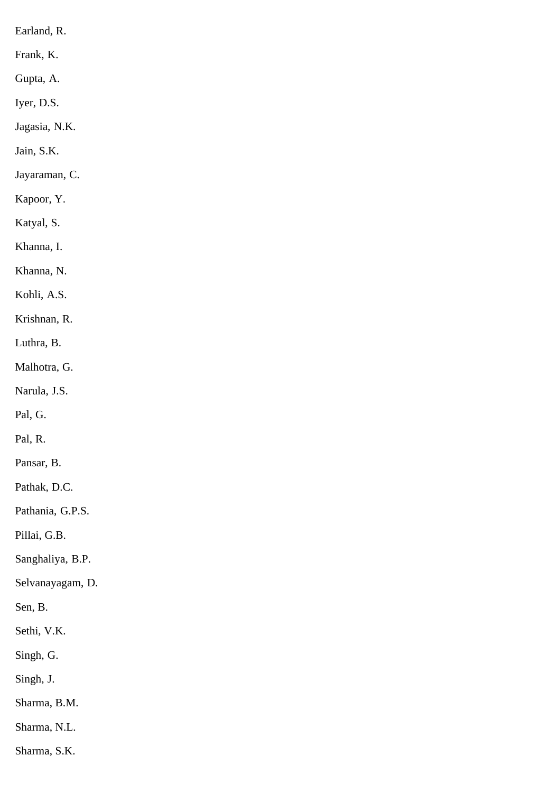Earland, R.

Frank, K.

Gupta, A.

Iyer, D.S.

Jagasia, N.K.

Jain, S.K.

Jayaraman, C.

Kapoor, Y.

Katyal, S.

Khanna, I.

Khanna, N.

Kohli, A.S.

Krishnan, R.

Luthra, B.

Malhotra, G.

Narula, J.S.

Pal, G.

Pal, R.

Pansar, B.

Pathak, D.C.

Pathania, G.P.S.

Pillai, G.B.

Sanghaliya, B.P.

Selvanayagam, D.

Sen, B.

Sethi, V.K.

Singh, G.

Singh, J.

Sharma, B.M.

Sharma, N.L.

Sharma, S.K.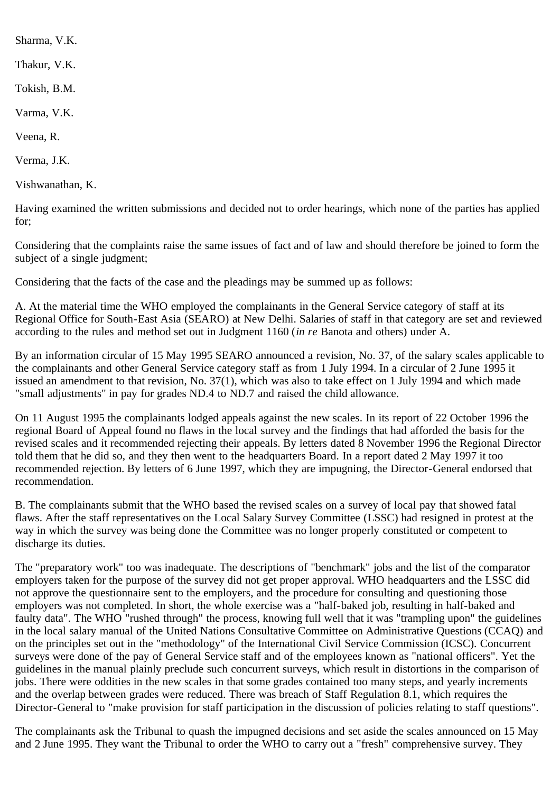Sharma, V.K.

Thakur, V.K.

Tokish, B.M.

Varma, V.K.

Veena, R.

Verma, J.K.

Vishwanathan, K.

Having examined the written submissions and decided not to order hearings, which none of the parties has applied for;

Considering that the complaints raise the same issues of fact and of law and should therefore be joined to form the subject of a single judgment;

Considering that the facts of the case and the pleadings may be summed up as follows:

A. At the material time the WHO employed the complainants in the General Service category of staff at its Regional Office for South-East Asia (SEARO) at New Delhi. Salaries of staff in that category are set and reviewed according to the rules and method set out in Judgment 1160 (*in re* Banota and others) under A.

By an information circular of 15 May 1995 SEARO announced a revision, No. 37, of the salary scales applicable to the complainants and other General Service category staff as from 1 July 1994. In a circular of 2 June 1995 it issued an amendment to that revision, No. 37(1), which was also to take effect on 1 July 1994 and which made "small adjustments" in pay for grades ND.4 to ND.7 and raised the child allowance.

On 11 August 1995 the complainants lodged appeals against the new scales. In its report of 22 October 1996 the regional Board of Appeal found no flaws in the local survey and the findings that had afforded the basis for the revised scales and it recommended rejecting their appeals. By letters dated 8 November 1996 the Regional Director told them that he did so, and they then went to the headquarters Board. In a report dated 2 May 1997 it too recommended rejection. By letters of 6 June 1997, which they are impugning, the Director-General endorsed that recommendation.

B. The complainants submit that the WHO based the revised scales on a survey of local pay that showed fatal flaws. After the staff representatives on the Local Salary Survey Committee (LSSC) had resigned in protest at the way in which the survey was being done the Committee was no longer properly constituted or competent to discharge its duties.

The "preparatory work" too was inadequate. The descriptions of "benchmark" jobs and the list of the comparator employers taken for the purpose of the survey did not get proper approval. WHO headquarters and the LSSC did not approve the questionnaire sent to the employers, and the procedure for consulting and questioning those employers was not completed. In short, the whole exercise was a "half-baked job, resulting in half-baked and faulty data". The WHO "rushed through" the process, knowing full well that it was "trampling upon" the guidelines in the local salary manual of the United Nations Consultative Committee on Administrative Questions (CCAQ) and on the principles set out in the "methodology" of the International Civil Service Commission (ICSC). Concurrent surveys were done of the pay of General Service staff and of the employees known as "national officers". Yet the guidelines in the manual plainly preclude such concurrent surveys, which result in distortions in the comparison of jobs. There were oddities in the new scales in that some grades contained too many steps, and yearly increments and the overlap between grades were reduced. There was breach of Staff Regulation 8.1, which requires the Director-General to "make provision for staff participation in the discussion of policies relating to staff questions".

The complainants ask the Tribunal to quash the impugned decisions and set aside the scales announced on 15 May and 2 June 1995. They want the Tribunal to order the WHO to carry out a "fresh" comprehensive survey. They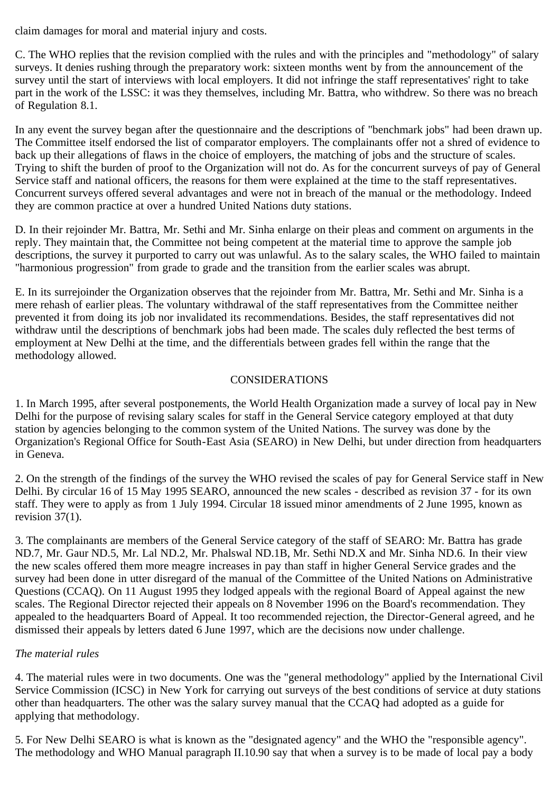claim damages for moral and material injury and costs.

C. The WHO replies that the revision complied with the rules and with the principles and "methodology" of salary surveys. It denies rushing through the preparatory work: sixteen months went by from the announcement of the survey until the start of interviews with local employers. It did not infringe the staff representatives' right to take part in the work of the LSSC: it was they themselves, including Mr. Battra, who withdrew. So there was no breach of Regulation 8.1.

In any event the survey began after the questionnaire and the descriptions of "benchmark jobs" had been drawn up. The Committee itself endorsed the list of comparator employers. The complainants offer not a shred of evidence to back up their allegations of flaws in the choice of employers, the matching of jobs and the structure of scales. Trying to shift the burden of proof to the Organization will not do. As for the concurrent surveys of pay of General Service staff and national officers, the reasons for them were explained at the time to the staff representatives. Concurrent surveys offered several advantages and were not in breach of the manual or the methodology. Indeed they are common practice at over a hundred United Nations duty stations.

D. In their rejoinder Mr. Battra, Mr. Sethi and Mr. Sinha enlarge on their pleas and comment on arguments in the reply. They maintain that, the Committee not being competent at the material time to approve the sample job descriptions, the survey it purported to carry out was unlawful. As to the salary scales, the WHO failed to maintain "harmonious progression" from grade to grade and the transition from the earlier scales was abrupt.

E. In its surrejoinder the Organization observes that the rejoinder from Mr. Battra, Mr. Sethi and Mr. Sinha is a mere rehash of earlier pleas. The voluntary withdrawal of the staff representatives from the Committee neither prevented it from doing its job nor invalidated its recommendations. Besides, the staff representatives did not withdraw until the descriptions of benchmark jobs had been made. The scales duly reflected the best terms of employment at New Delhi at the time, and the differentials between grades fell within the range that the methodology allowed.

### **CONSIDERATIONS**

1. In March 1995, after several postponements, the World Health Organization made a survey of local pay in New Delhi for the purpose of revising salary scales for staff in the General Service category employed at that duty station by agencies belonging to the common system of the United Nations. The survey was done by the Organization's Regional Office for South-East Asia (SEARO) in New Delhi, but under direction from headquarters in Geneva.

2. On the strength of the findings of the survey the WHO revised the scales of pay for General Service staff in New Delhi. By circular 16 of 15 May 1995 SEARO, announced the new scales - described as revision 37 - for its own staff. They were to apply as from 1 July 1994. Circular 18 issued minor amendments of 2 June 1995, known as revision 37(1).

3. The complainants are members of the General Service category of the staff of SEARO: Mr. Battra has grade ND.7, Mr. Gaur ND.5, Mr. Lal ND.2, Mr. Phalswal ND.1B, Mr. Sethi ND.X and Mr. Sinha ND.6. In their view the new scales offered them more meagre increases in pay than staff in higher General Service grades and the survey had been done in utter disregard of the manual of the Committee of the United Nations on Administrative Questions (CCAQ). On 11 August 1995 they lodged appeals with the regional Board of Appeal against the new scales. The Regional Director rejected their appeals on 8 November 1996 on the Board's recommendation. They appealed to the headquarters Board of Appeal. It too recommended rejection, the Director-General agreed, and he dismissed their appeals by letters dated 6 June 1997, which are the decisions now under challenge.

## *The material rules*

4. The material rules were in two documents. One was the "general methodology" applied by the International Civil Service Commission (ICSC) in New York for carrying out surveys of the best conditions of service at duty stations other than headquarters. The other was the salary survey manual that the CCAQ had adopted as a guide for applying that methodology.

5. For New Delhi SEARO is what is known as the "designated agency" and the WHO the "responsible agency". The methodology and WHO Manual paragraph II.10.90 say that when a survey is to be made of local pay a body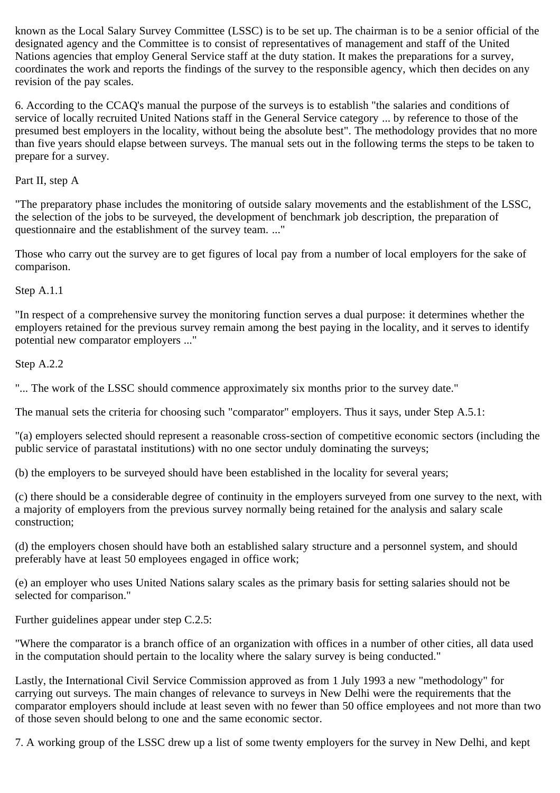known as the Local Salary Survey Committee (LSSC) is to be set up. The chairman is to be a senior official of the designated agency and the Committee is to consist of representatives of management and staff of the United Nations agencies that employ General Service staff at the duty station. It makes the preparations for a survey, coordinates the work and reports the findings of the survey to the responsible agency, which then decides on any revision of the pay scales.

6. According to the CCAQ's manual the purpose of the surveys is to establish "the salaries and conditions of service of locally recruited United Nations staff in the General Service category ... by reference to those of the presumed best employers in the locality, without being the absolute best". The methodology provides that no more than five years should elapse between surveys. The manual sets out in the following terms the steps to be taken to prepare for a survey.

Part II, step A

"The preparatory phase includes the monitoring of outside salary movements and the establishment of the LSSC, the selection of the jobs to be surveyed, the development of benchmark job description, the preparation of questionnaire and the establishment of the survey team. ..."

Those who carry out the survey are to get figures of local pay from a number of local employers for the sake of comparison.

Step A.1.1

"In respect of a comprehensive survey the monitoring function serves a dual purpose: it determines whether the employers retained for the previous survey remain among the best paying in the locality, and it serves to identify potential new comparator employers ..."

Step A.2.2

"... The work of the LSSC should commence approximately six months prior to the survey date."

The manual sets the criteria for choosing such "comparator" employers. Thus it says, under Step A.5.1:

"(a) employers selected should represent a reasonable cross-section of competitive economic sectors (including the public service of parastatal institutions) with no one sector unduly dominating the surveys;

(b) the employers to be surveyed should have been established in the locality for several years;

(c) there should be a considerable degree of continuity in the employers surveyed from one survey to the next, with a majority of employers from the previous survey normally being retained for the analysis and salary scale construction;

(d) the employers chosen should have both an established salary structure and a personnel system, and should preferably have at least 50 employees engaged in office work;

(e) an employer who uses United Nations salary scales as the primary basis for setting salaries should not be selected for comparison."

Further guidelines appear under step C.2.5:

"Where the comparator is a branch office of an organization with offices in a number of other cities, all data used in the computation should pertain to the locality where the salary survey is being conducted."

Lastly, the International Civil Service Commission approved as from 1 July 1993 a new "methodology" for carrying out surveys. The main changes of relevance to surveys in New Delhi were the requirements that the comparator employers should include at least seven with no fewer than 50 office employees and not more than two of those seven should belong to one and the same economic sector.

7. A working group of the LSSC drew up a list of some twenty employers for the survey in New Delhi, and kept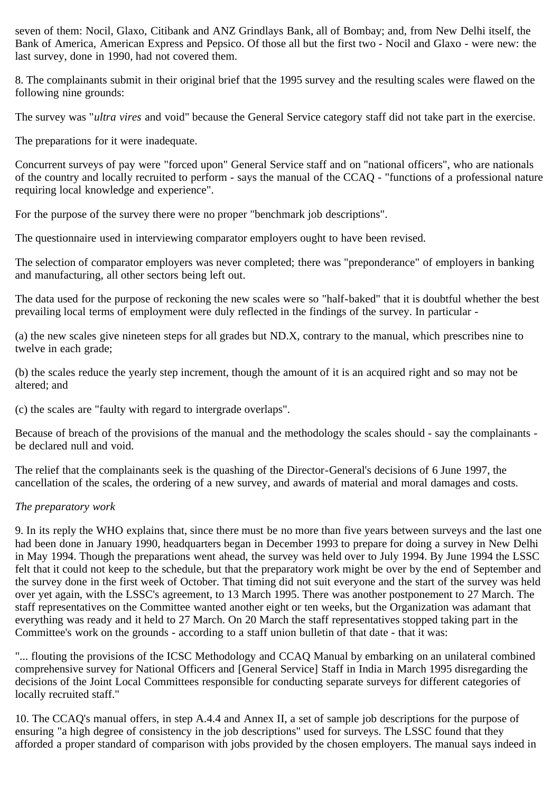seven of them: Nocil, Glaxo, Citibank and ANZ Grindlays Bank, all of Bombay; and, from New Delhi itself, the Bank of America, American Express and Pepsico. Of those all but the first two - Nocil and Glaxo - were new: the last survey, done in 1990, had not covered them.

8. The complainants submit in their original brief that the 1995 survey and the resulting scales were flawed on the following nine grounds:

The survey was "*ultra vires* and void" because the General Service category staff did not take part in the exercise.

The preparations for it were inadequate.

Concurrent surveys of pay were "forced upon" General Service staff and on "national officers", who are nationals of the country and locally recruited to perform - says the manual of the CCAQ - "functions of a professional nature requiring local knowledge and experience".

For the purpose of the survey there were no proper "benchmark job descriptions".

The questionnaire used in interviewing comparator employers ought to have been revised.

The selection of comparator employers was never completed; there was "preponderance" of employers in banking and manufacturing, all other sectors being left out.

The data used for the purpose of reckoning the new scales were so "half-baked" that it is doubtful whether the best prevailing local terms of employment were duly reflected in the findings of the survey. In particular -

(a) the new scales give nineteen steps for all grades but ND.X, contrary to the manual, which prescribes nine to twelve in each grade;

(b) the scales reduce the yearly step increment, though the amount of it is an acquired right and so may not be altered; and

(c) the scales are "faulty with regard to intergrade overlaps".

Because of breach of the provisions of the manual and the methodology the scales should - say the complainants be declared null and void.

The relief that the complainants seek is the quashing of the Director-General's decisions of 6 June 1997, the cancellation of the scales, the ordering of a new survey, and awards of material and moral damages and costs.

## *The preparatory work*

9. In its reply the WHO explains that, since there must be no more than five years between surveys and the last one had been done in January 1990, headquarters began in December 1993 to prepare for doing a survey in New Delhi in May 1994. Though the preparations went ahead, the survey was held over to July 1994. By June 1994 the LSSC felt that it could not keep to the schedule, but that the preparatory work might be over by the end of September and the survey done in the first week of October. That timing did not suit everyone and the start of the survey was held over yet again, with the LSSC's agreement, to 13 March 1995. There was another postponement to 27 March. The staff representatives on the Committee wanted another eight or ten weeks, but the Organization was adamant that everything was ready and it held to 27 March. On 20 March the staff representatives stopped taking part in the Committee's work on the grounds - according to a staff union bulletin of that date - that it was:

"... flouting the provisions of the ICSC Methodology and CCAQ Manual by embarking on an unilateral combined comprehensive survey for National Officers and [General Service] Staff in India in March 1995 disregarding the decisions of the Joint Local Committees responsible for conducting separate surveys for different categories of locally recruited staff."

10. The CCAQ's manual offers, in step A.4.4 and Annex II, a set of sample job descriptions for the purpose of ensuring "a high degree of consistency in the job descriptions" used for surveys. The LSSC found that they afforded a proper standard of comparison with jobs provided by the chosen employers. The manual says indeed in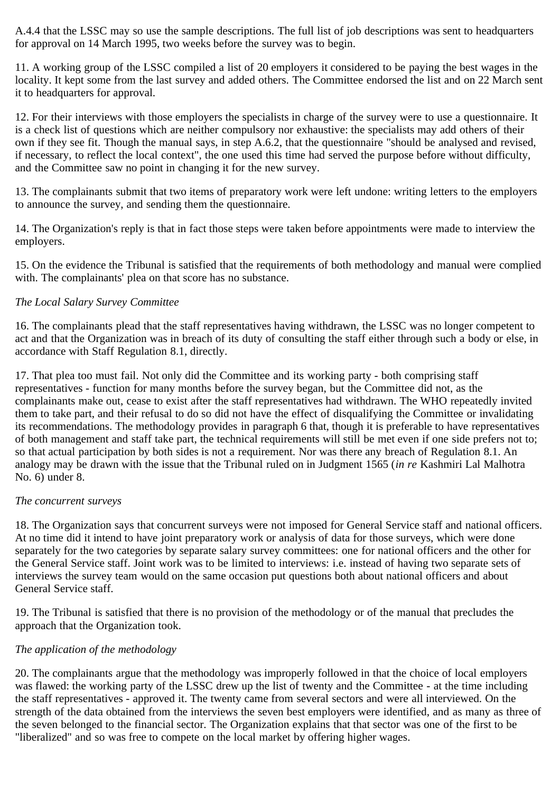A.4.4 that the LSSC may so use the sample descriptions. The full list of job descriptions was sent to headquarters for approval on 14 March 1995, two weeks before the survey was to begin.

11. A working group of the LSSC compiled a list of 20 employers it considered to be paying the best wages in the locality. It kept some from the last survey and added others. The Committee endorsed the list and on 22 March sent it to headquarters for approval.

12. For their interviews with those employers the specialists in charge of the survey were to use a questionnaire. It is a check list of questions which are neither compulsory nor exhaustive: the specialists may add others of their own if they see fit. Though the manual says, in step A.6.2, that the questionnaire "should be analysed and revised, if necessary, to reflect the local context", the one used this time had served the purpose before without difficulty, and the Committee saw no point in changing it for the new survey.

13. The complainants submit that two items of preparatory work were left undone: writing letters to the employers to announce the survey, and sending them the questionnaire.

14. The Organization's reply is that in fact those steps were taken before appointments were made to interview the employers.

15. On the evidence the Tribunal is satisfied that the requirements of both methodology and manual were complied with. The complainants' plea on that score has no substance.

### *The Local Salary Survey Committee*

16. The complainants plead that the staff representatives having withdrawn, the LSSC was no longer competent to act and that the Organization was in breach of its duty of consulting the staff either through such a body or else, in accordance with Staff Regulation 8.1, directly.

17. That plea too must fail. Not only did the Committee and its working party - both comprising staff representatives - function for many months before the survey began, but the Committee did not, as the complainants make out, cease to exist after the staff representatives had withdrawn. The WHO repeatedly invited them to take part, and their refusal to do so did not have the effect of disqualifying the Committee or invalidating its recommendations. The methodology provides in paragraph 6 that, though it is preferable to have representatives of both management and staff take part, the technical requirements will still be met even if one side prefers not to; so that actual participation by both sides is not a requirement. Nor was there any breach of Regulation 8.1. An analogy may be drawn with the issue that the Tribunal ruled on in Judgment 1565 (*in re* Kashmiri Lal Malhotra No. 6) under 8.

#### *The concurrent surveys*

18. The Organization says that concurrent surveys were not imposed for General Service staff and national officers. At no time did it intend to have joint preparatory work or analysis of data for those surveys, which were done separately for the two categories by separate salary survey committees: one for national officers and the other for the General Service staff. Joint work was to be limited to interviews: i.e. instead of having two separate sets of interviews the survey team would on the same occasion put questions both about national officers and about General Service staff.

19. The Tribunal is satisfied that there is no provision of the methodology or of the manual that precludes the approach that the Organization took.

## *The application of the methodology*

20. The complainants argue that the methodology was improperly followed in that the choice of local employers was flawed: the working party of the LSSC drew up the list of twenty and the Committee - at the time including the staff representatives - approved it. The twenty came from several sectors and were all interviewed. On the strength of the data obtained from the interviews the seven best employers were identified, and as many as three of the seven belonged to the financial sector. The Organization explains that that sector was one of the first to be "liberalized" and so was free to compete on the local market by offering higher wages.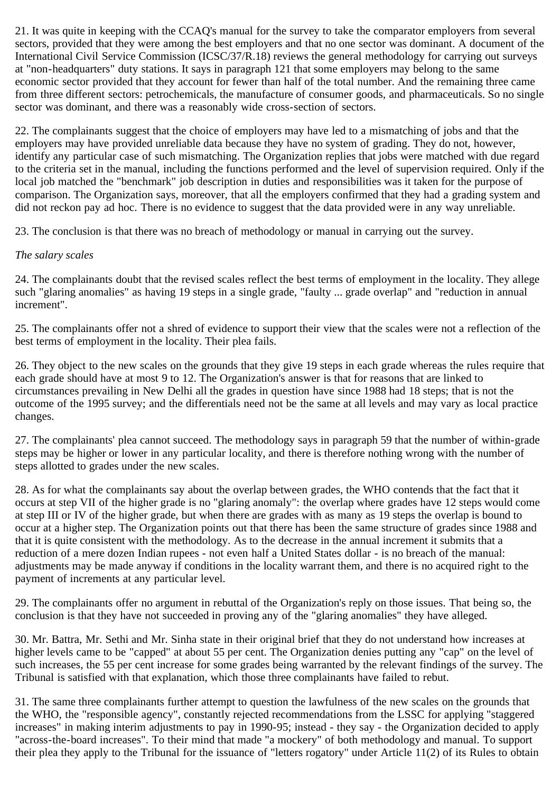21. It was quite in keeping with the CCAQ's manual for the survey to take the comparator employers from several sectors, provided that they were among the best employers and that no one sector was dominant. A document of the International Civil Service Commission (ICSC/37/R.18) reviews the general methodology for carrying out surveys at "non-headquarters" duty stations. It says in paragraph 121 that some employers may belong to the same economic sector provided that they account for fewer than half of the total number. And the remaining three came from three different sectors: petrochemicals, the manufacture of consumer goods, and pharmaceuticals. So no single sector was dominant, and there was a reasonably wide cross-section of sectors.

22. The complainants suggest that the choice of employers may have led to a mismatching of jobs and that the employers may have provided unreliable data because they have no system of grading. They do not, however, identify any particular case of such mismatching. The Organization replies that jobs were matched with due regard to the criteria set in the manual, including the functions performed and the level of supervision required. Only if the local job matched the "benchmark" job description in duties and responsibilities was it taken for the purpose of comparison. The Organization says, moreover, that all the employers confirmed that they had a grading system and did not reckon pay ad hoc. There is no evidence to suggest that the data provided were in any way unreliable.

23. The conclusion is that there was no breach of methodology or manual in carrying out the survey.

## *The salary scales*

24. The complainants doubt that the revised scales reflect the best terms of employment in the locality. They allege such "glaring anomalies" as having 19 steps in a single grade, "faulty ... grade overlap" and "reduction in annual increment".

25. The complainants offer not a shred of evidence to support their view that the scales were not a reflection of the best terms of employment in the locality. Their plea fails.

26. They object to the new scales on the grounds that they give 19 steps in each grade whereas the rules require that each grade should have at most 9 to 12. The Organization's answer is that for reasons that are linked to circumstances prevailing in New Delhi all the grades in question have since 1988 had 18 steps; that is not the outcome of the 1995 survey; and the differentials need not be the same at all levels and may vary as local practice changes.

27. The complainants' plea cannot succeed. The methodology says in paragraph 59 that the number of within-grade steps may be higher or lower in any particular locality, and there is therefore nothing wrong with the number of steps allotted to grades under the new scales.

28. As for what the complainants say about the overlap between grades, the WHO contends that the fact that it occurs at step VII of the higher grade is no "glaring anomaly": the overlap where grades have 12 steps would come at step III or IV of the higher grade, but when there are grades with as many as 19 steps the overlap is bound to occur at a higher step. The Organization points out that there has been the same structure of grades since 1988 and that it is quite consistent with the methodology. As to the decrease in the annual increment it submits that a reduction of a mere dozen Indian rupees - not even half a United States dollar - is no breach of the manual: adjustments may be made anyway if conditions in the locality warrant them, and there is no acquired right to the payment of increments at any particular level.

29. The complainants offer no argument in rebuttal of the Organization's reply on those issues. That being so, the conclusion is that they have not succeeded in proving any of the "glaring anomalies" they have alleged.

30. Mr. Battra, Mr. Sethi and Mr. Sinha state in their original brief that they do not understand how increases at higher levels came to be "capped" at about 55 per cent. The Organization denies putting any "cap" on the level of such increases, the 55 per cent increase for some grades being warranted by the relevant findings of the survey. The Tribunal is satisfied with that explanation, which those three complainants have failed to rebut.

31. The same three complainants further attempt to question the lawfulness of the new scales on the grounds that the WHO, the "responsible agency", constantly rejected recommendations from the LSSC for applying "staggered increases" in making interim adjustments to pay in 1990-95; instead - they say - the Organization decided to apply "across-the-board increases". To their mind that made "a mockery" of both methodology and manual. To support their plea they apply to the Tribunal for the issuance of "letters rogatory" under Article 11(2) of its Rules to obtain